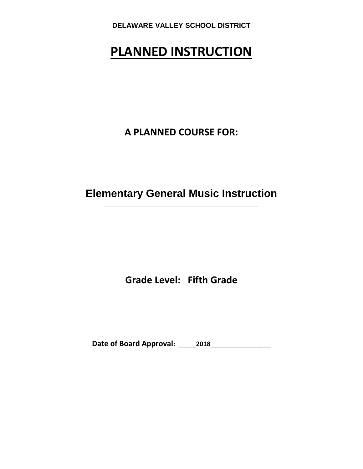# **PLANNED INSTRUCTION**

**A PLANNED COURSE FOR:**

**Elementary General Music Instruction \_\_\_\_\_\_\_\_\_\_\_\_\_\_\_\_\_\_\_\_\_\_\_\_\_\_\_\_\_\_\_\_\_\_\_\_\_\_\_**

**Grade Level: Fifth Grade**

**Date of Board Approval: \_\_\_\_\_2018\_\_\_\_\_\_\_\_\_\_\_\_\_\_\_\_\_**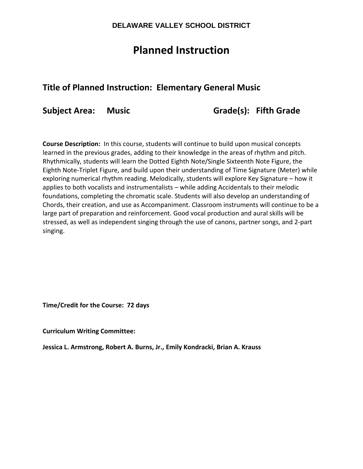# **Planned Instruction**

# **Title of Planned Instruction: Elementary General Music**

**Subject Area: Music Grade(s): Fifth Grade**

**Course Description:** In this course, students will continue to build upon musical concepts learned in the previous grades, adding to their knowledge in the areas of rhythm and pitch. Rhythmically, students will learn the Dotted Eighth Note/Single Sixteenth Note Figure, the Eighth Note-Triplet Figure, and build upon their understanding of Time Signature (Meter) while exploring numerical rhythm reading. Melodically, students will explore Key Signature – how it applies to both vocalists and instrumentalists – while adding Accidentals to their melodic foundations, completing the chromatic scale. Students will also develop an understanding of Chords, their creation, and use as Accompaniment. Classroom instruments will continue to be a large part of preparation and reinforcement. Good vocal production and aural skills will be stressed, as well as independent singing through the use of canons, partner songs, and 2-part singing.

**Time/Credit for the Course: 72 days** 

**Curriculum Writing Committee:** 

**Jessica L. Armstrong, Robert A. Burns, Jr., Emily Kondracki, Brian A. Krauss**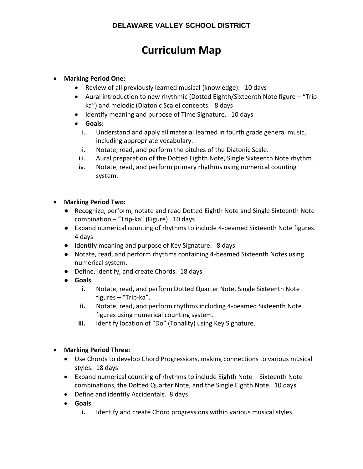# **Curriculum Map**

## **Marking Period One:**

- Review of all previously learned musical (knowledge). 10 days
- Aural introduction to new rhythmic (Dotted Eighth/Sixteenth Note figure "Tripka") and melodic (Diatonic Scale) concepts. 8 days
- Identify meaning and purpose of Time Signature. 10 days
- **Goals:**
	- i. Understand and apply all material learned in fourth grade general music, including appropriate vocabulary.
	- ii. Notate, read, and perform the pitches of the Diatonic Scale.
- iii. Aural preparation of the Dotted Eighth Note, Single Sixteenth Note rhythm.
- iv. Notate, read, and perform primary rhythms using numerical counting system.
- **Marking Period Two:**
	- Recognize, perform, notate and read Dotted Eighth Note and Single Sixteenth Note combination – "Trip-ka" (Figure) 10 days
	- Expand numerical counting of rhythms to include 4-beamed Sixteenth Note figures. 4 days
	- Identify meaning and purpose of Key Signature. 8 days
	- Notate, read, and perform rhythms containing 4-beamed Sixteenth Notes using numerical system.
	- Define, identify, and create Chords. 18 days
	- **Goals**
		- **i.** Notate, read, and perform Dotted Quarter Note, Single Sixteenth Note figures – "Trip-ka".
		- **ii.** Notate, read, and perform rhythms including 4-beamed Sixteenth Note figures using numerical counting system.
		- **iii.** Identify location of "Do" (Tonality) using Key Signature.

## **Marking Period Three:**

- Use Chords to develop Chord Progressions, making connections to various musical styles. 18 days
- Expand numerical counting of rhythms to include Eighth Note Sixteenth Note combinations, the Dotted Quarter Note, and the Single Eighth Note. 10 days
- Define and identify Accidentals. 8 days
- **Goals**
	- **i.** Identify and create Chord progressions within various musical styles.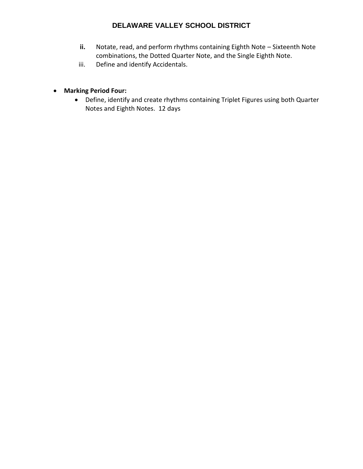- **ii.** Notate, read, and perform rhythms containing Eighth Note Sixteenth Note combinations, the Dotted Quarter Note, and the Single Eighth Note.
- iii. Define and identify Accidentals.
- **Marking Period Four:**
	- Define, identify and create rhythms containing Triplet Figures using both Quarter Notes and Eighth Notes. 12 days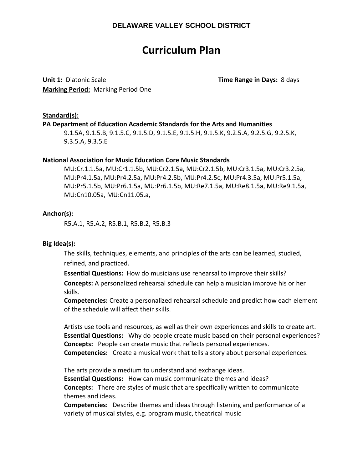# **Curriculum Plan**

**Unit 1:** Diatonic Scale **Time Range in Days:** 8 days **Marking Period:** Marking Period One

#### **Standard(s):**

#### **PA Department of Education Academic Standards for the Arts and Humanities**

9.1.5A, 9.1.5.B, 9.1.5.C, 9.1.5.D, 9.1.5.E, 9.1.5.H, 9.1.5.K, 9.2.5.A, 9.2.5.G, 9.2.5.K, 9.3.5.A, 9.3.5.E

#### **National Association for Music Education Core Music Standards**

MU:Cr.1.1.5a, MU:Cr1.1.5b, MU:Cr2.1.5a, MU:Cr2.1.5b, MU:Cr3.1.5a, MU:Cr3.2.5a, MU:Pr4.1.5a, MU:Pr4.2.5a, MU:Pr4.2.5b, MU:Pr4.2.5c, MU:Pr4.3.5a, MU:Pr5.1.5a, MU:Pr5.1.5b, MU:Pr6.1.5a, MU:Pr6.1.5b, MU:Re7.1.5a, MU:Re8.1.5a, MU:Re9.1.5a, MU:Cn10.05a, MU:Cn11.05.a,

#### **Anchor(s):**

R5.A.1, R5.A.2, R5.B.1, R5.B.2, R5.B.3

#### **Big Idea(s):**

The skills, techniques, elements, and principles of the arts can be learned, studied, refined, and practiced.

**Essential Questions:** How do musicians use rehearsal to improve their skills? **Concepts:** A personalized rehearsal schedule can help a musician improve his or her skills.

**Competencies:** Create a personalized rehearsal schedule and predict how each element of the schedule will affect their skills.

Artists use tools and resources, as well as their own experiences and skills to create art. **Essential Questions:** Why do people create music based on their personal experiences? **Concepts:** People can create music that reflects personal experiences. **Competencies:** Create a musical work that tells a story about personal experiences.

The arts provide a medium to understand and exchange ideas. **Essential Questions:** How can music communicate themes and ideas? **Concepts:** There are styles of music that are specifically written to communicate themes and ideas.

**Competencies:** Describe themes and ideas through listening and performance of a variety of musical styles, e.g. program music, theatrical music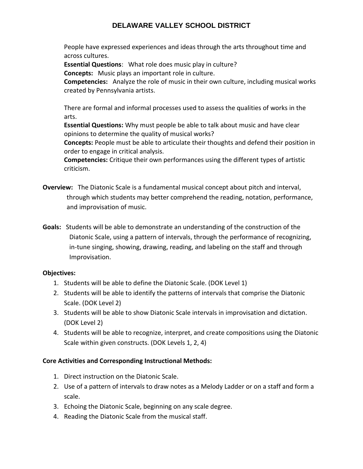People have expressed experiences and ideas through the arts throughout time and across cultures.

**Essential Questions**: What role does music play in culture?

**Concepts:** Music plays an important role in culture.

**Competencies:** Analyze the role of music in their own culture, including musical works created by Pennsylvania artists.

There are formal and informal processes used to assess the qualities of works in the arts.

**Essential Questions:** Why must people be able to talk about music and have clear opinions to determine the quality of musical works?

**Concepts:** People must be able to articulate their thoughts and defend their position in order to engage in critical analysis.

**Competencies:** Critique their own performances using the different types of artistic criticism.

- **Overview:** The Diatonic Scale is a fundamental musical concept about pitch and interval, through which students may better comprehend the reading, notation, performance, and improvisation of music.
- **Goals:** Students will be able to demonstrate an understanding of the construction of the Diatonic Scale, using a pattern of intervals, through the performance of recognizing, in-tune singing, showing, drawing, reading, and labeling on the staff and through Improvisation.

## **Objectives:**

- 1. Students will be able to define the Diatonic Scale. (DOK Level 1)
- 2. Students will be able to identify the patterns of intervals that comprise the Diatonic Scale. (DOK Level 2)
- 3. Students will be able to show Diatonic Scale intervals in improvisation and dictation. (DOK Level 2)
- 4. Students will be able to recognize, interpret, and create compositions using the Diatonic Scale within given constructs. (DOK Levels 1, 2, 4)

## **Core Activities and Corresponding Instructional Methods:**

- 1. Direct instruction on the Diatonic Scale.
- 2. Use of a pattern of intervals to draw notes as a Melody Ladder or on a staff and form a scale.
- 3. Echoing the Diatonic Scale, beginning on any scale degree.
- 4. Reading the Diatonic Scale from the musical staff.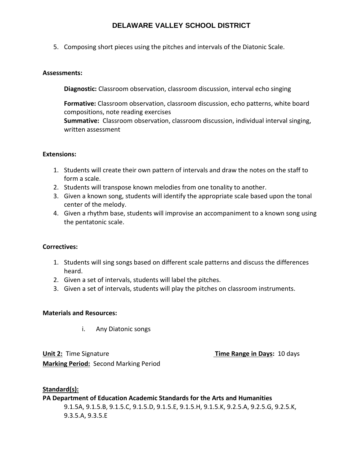5. Composing short pieces using the pitches and intervals of the Diatonic Scale.

#### **Assessments:**

**Diagnostic:** Classroom observation, classroom discussion, interval echo singing

**Formative:** Classroom observation, classroom discussion, echo patterns, white board compositions, note reading exercises **Summative:** Classroom observation, classroom discussion, individual interval singing, written assessment

## **Extensions:**

- 1. Students will create their own pattern of intervals and draw the notes on the staff to form a scale.
- 2. Students will transpose known melodies from one tonality to another.
- 3. Given a known song, students will identify the appropriate scale based upon the tonal center of the melody.
- 4. Given a rhythm base, students will improvise an accompaniment to a known song using the pentatonic scale.

## **Correctives:**

- 1. Students will sing songs based on different scale patterns and discuss the differences heard.
- 2. Given a set of intervals, students will label the pitches.
- 3. Given a set of intervals, students will play the pitches on classroom instruments.

## **Materials and Resources:**

i. Any Diatonic songs

**Unit 2:** Time Signature **Time Range in Days:** 10 days **Marking Period:** Second Marking Period

## **Standard(s): PA Department of Education Academic Standards for the Arts and Humanities** 9.1.5A, 9.1.5.B, 9.1.5.C, 9.1.5.D, 9.1.5.E, 9.1.5.H, 9.1.5.K, 9.2.5.A, 9.2.5.G, 9.2.5.K, 9.3.5.A, 9.3.5.E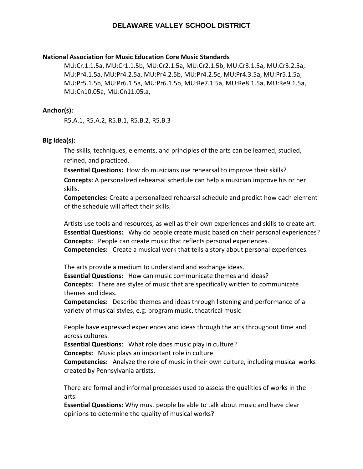#### **National Association for Music Education Core Music Standards**

MU:Cr.1.1.5a, MU:Cr1.1.5b, MU:Cr2.1.5a, MU:Cr2.1.5b, MU:Cr3.1.5a, MU:Cr3.2.5a, MU:Pr4.1.5a, MU:Pr4.2.5a, MU:Pr4.2.5b, MU:Pr4.2.5c, MU:Pr4.3.5a, MU:Pr5.1.5a, MU:Pr5.1.5b, MU:Pr6.1.5a, MU:Pr6.1.5b, MU:Re7.1.5a, MU:Re8.1.5a, MU:Re9.1.5a, MU:Cn10.05a, MU:Cn11.05.a,

#### **Anchor(s):**

R5.A.1, R5.A.2, R5.B.1, R5.B.2, R5.B.3

#### **Big Idea(s):**

The skills, techniques, elements, and principles of the arts can be learned, studied, refined, and practiced.

**Essential Questions:** How do musicians use rehearsal to improve their skills? **Concepts:** A personalized rehearsal schedule can help a musician improve his or her skills.

**Competencies:** Create a personalized rehearsal schedule and predict how each element of the schedule will affect their skills.

Artists use tools and resources, as well as their own experiences and skills to create art. **Essential Questions:** Why do people create music based on their personal experiences? **Concepts:** People can create music that reflects personal experiences. **Competencies:** Create a musical work that tells a story about personal experiences.

The arts provide a medium to understand and exchange ideas.

**Essential Questions:** How can music communicate themes and ideas? **Concepts:** There are styles of music that are specifically written to communicate themes and ideas.

**Competencies:** Describe themes and ideas through listening and performance of a variety of musical styles, e.g. program music, theatrical music

People have expressed experiences and ideas through the arts throughout time and across cultures.

**Essential Questions**: What role does music play in culture?

**Concepts:** Music plays an important role in culture.

**Competencies:** Analyze the role of music in their own culture, including musical works created by Pennsylvania artists.

There are formal and informal processes used to assess the qualities of works in the arts.

**Essential Questions:** Why must people be able to talk about music and have clear opinions to determine the quality of musical works?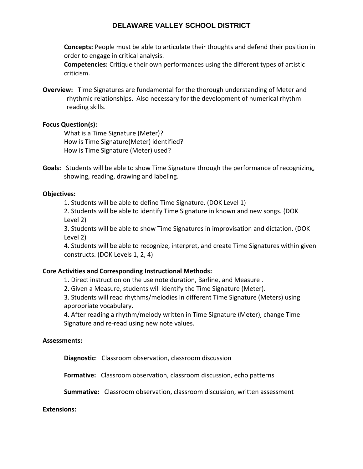**Concepts:** People must be able to articulate their thoughts and defend their position in order to engage in critical analysis.

**Competencies:** Critique their own performances using the different types of artistic criticism.

**Overview:** Time Signatures are fundamental for the thorough understanding of Meter and rhythmic relationships. Also necessary for the development of numerical rhythm reading skills.

## **Focus Question(s):**

What is a Time Signature (Meter)? How is Time Signature(Meter) identified? How is Time Signature (Meter) used?

**Goals:** Students will be able to show Time Signature through the performance of recognizing, showing, reading, drawing and labeling.

## **Objectives:**

1. Students will be able to define Time Signature. (DOK Level 1)

2. Students will be able to identify Time Signature in known and new songs. (DOK Level 2)

3. Students will be able to show Time Signatures in improvisation and dictation. (DOK Level 2)

4. Students will be able to recognize, interpret, and create Time Signatures within given constructs. (DOK Levels 1, 2, 4)

## **Core Activities and Corresponding Instructional Methods:**

1. Direct instruction on the use note duration, Barline, and Measure .

2. Given a Measure, students will identify the Time Signature (Meter).

3. Students will read rhythms/melodies in different Time Signature (Meters) using appropriate vocabulary.

4. After reading a rhythm/melody written in Time Signature (Meter), change Time Signature and re‐read using new note values.

## **Assessments:**

**Diagnostic**: Classroom observation, classroom discussion

**Formative:** Classroom observation, classroom discussion, echo patterns

**Summative:** Classroom observation, classroom discussion, written assessment

## **Extensions:**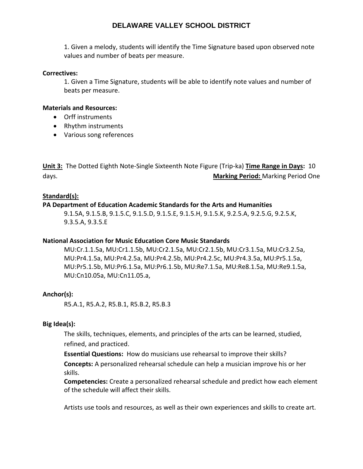1. Given a melody, students will identify the Time Signature based upon observed note values and number of beats per measure.

## **Correctives:**

1. Given a Time Signature, students will be able to identify note values and number of beats per measure.

## **Materials and Resources:**

- Orff instruments
- Rhythm instruments
- Various song references

**Unit 3:** The Dotted Eighth Note-Single Sixteenth Note Figure (Trip-ka) **Time Range in Days:** 10 days. **Marking Period:** Marking Period One

## **Standard(s):**

## **PA Department of Education Academic Standards for the Arts and Humanities**

9.1.5A, 9.1.5.B, 9.1.5.C, 9.1.5.D, 9.1.5.E, 9.1.5.H, 9.1.5.K, 9.2.5.A, 9.2.5.G, 9.2.5.K, 9.3.5.A, 9.3.5.E

## **National Association for Music Education Core Music Standards**

MU:Cr.1.1.5a, MU:Cr1.1.5b, MU:Cr2.1.5a, MU:Cr2.1.5b, MU:Cr3.1.5a, MU:Cr3.2.5a, MU:Pr4.1.5a, MU:Pr4.2.5a, MU:Pr4.2.5b, MU:Pr4.2.5c, MU:Pr4.3.5a, MU:Pr5.1.5a, MU:Pr5.1.5b, MU:Pr6.1.5a, MU:Pr6.1.5b, MU:Re7.1.5a, MU:Re8.1.5a, MU:Re9.1.5a, MU:Cn10.05a, MU:Cn11.05.a,

## **Anchor(s):**

R5.A.1, R5.A.2, R5.B.1, R5.B.2, R5.B.3

## **Big Idea(s):**

The skills, techniques, elements, and principles of the arts can be learned, studied, refined, and practiced.

**Essential Questions:** How do musicians use rehearsal to improve their skills?

**Concepts:** A personalized rehearsal schedule can help a musician improve his or her skills.

**Competencies:** Create a personalized rehearsal schedule and predict how each element of the schedule will affect their skills.

Artists use tools and resources, as well as their own experiences and skills to create art.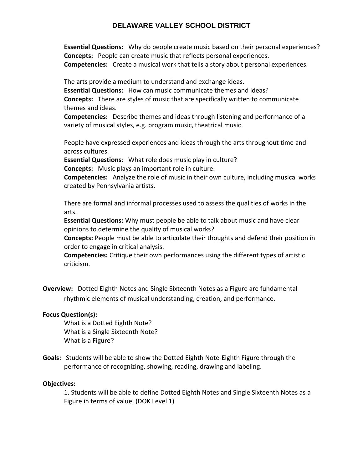**Essential Questions:** Why do people create music based on their personal experiences? **Concepts:** People can create music that reflects personal experiences. **Competencies:** Create a musical work that tells a story about personal experiences.

The arts provide a medium to understand and exchange ideas. **Essential Questions:** How can music communicate themes and ideas? **Concepts:** There are styles of music that are specifically written to communicate themes and ideas.

**Competencies:** Describe themes and ideas through listening and performance of a variety of musical styles, e.g. program music, theatrical music

People have expressed experiences and ideas through the arts throughout time and across cultures.

**Essential Questions**: What role does music play in culture?

**Concepts:** Music plays an important role in culture.

**Competencies:** Analyze the role of music in their own culture, including musical works created by Pennsylvania artists.

There are formal and informal processes used to assess the qualities of works in the arts.

**Essential Questions:** Why must people be able to talk about music and have clear opinions to determine the quality of musical works?

**Concepts:** People must be able to articulate their thoughts and defend their position in order to engage in critical analysis.

**Competencies:** Critique their own performances using the different types of artistic criticism.

**Overview:** Dotted Eighth Notes and Single Sixteenth Notes as a Figure are fundamental rhythmic elements of musical understanding, creation, and performance.

## **Focus Question(s):**

What is a Dotted Eighth Note? What is a Single Sixteenth Note? What is a Figure?

**Goals:** Students will be able to show the Dotted Eighth Note‐Eighth Figure through the performance of recognizing, showing, reading, drawing and labeling.

## **Objectives:**

1. Students will be able to define Dotted Eighth Notes and Single Sixteenth Notes as a Figure in terms of value. (DOK Level 1)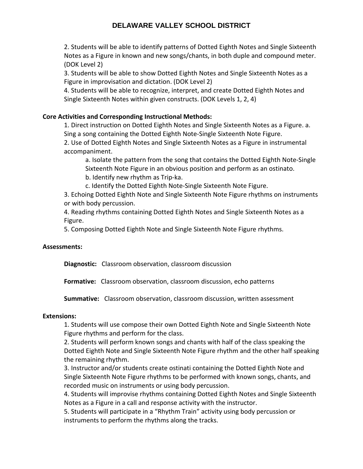2. Students will be able to identify patterns of Dotted Eighth Notes and Single Sixteenth Notes as a Figure in known and new songs/chants, in both duple and compound meter. (DOK Level 2)

3. Students will be able to show Dotted Eighth Notes and Single Sixteenth Notes as a Figure in improvisation and dictation. (DOK Level 2)

4. Students will be able to recognize, interpret, and create Dotted Eighth Notes and Single Sixteenth Notes within given constructs. (DOK Levels 1, 2, 4)

## **Core Activities and Corresponding Instructional Methods:**

1. Direct instruction on Dotted Eighth Notes and Single Sixteenth Notes as a Figure. a. Sing a song containing the Dotted Eighth Note‐Single Sixteenth Note Figure.

2. Use of Dotted Eighth Notes and Single Sixteenth Notes as a Figure in instrumental accompaniment.

a. Isolate the pattern from the song that contains the Dotted Eighth Note‐Single Sixteenth Note Figure in an obvious position and perform as an ostinato.

b. Identify new rhythm as Trip‐ka.

c. Identify the Dotted Eighth Note‐Single Sixteenth Note Figure.

3. Echoing Dotted Eighth Note and Single Sixteenth Note Figure rhythms on instruments or with body percussion.

4. Reading rhythms containing Dotted Eighth Notes and Single Sixteenth Notes as a Figure.

5. Composing Dotted Eighth Note and Single Sixteenth Note Figure rhythms.

## **Assessments:**

**Diagnostic:** Classroom observation, classroom discussion

**Formative:** Classroom observation, classroom discussion, echo patterns

**Summative:** Classroom observation, classroom discussion, written assessment

## **Extensions:**

1. Students will use compose their own Dotted Eighth Note and Single Sixteenth Note Figure rhythms and perform for the class.

2. Students will perform known songs and chants with half of the class speaking the Dotted Eighth Note and Single Sixteenth Note Figure rhythm and the other half speaking the remaining rhythm.

3. Instructor and/or students create ostinati containing the Dotted Eighth Note and Single Sixteenth Note Figure rhythms to be performed with known songs, chants, and recorded music on instruments or using body percussion.

4. Students will improvise rhythms containing Dotted Eighth Notes and Single Sixteenth Notes as a Figure in a call and response activity with the instructor.

5. Students will participate in a "Rhythm Train" activity using body percussion or instruments to perform the rhythms along the tracks.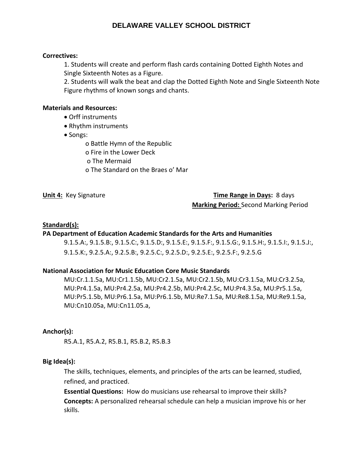## **Correctives:**

1. Students will create and perform flash cards containing Dotted Eighth Notes and Single Sixteenth Notes as a Figure.

2. Students will walk the beat and clap the Dotted Eighth Note and Single Sixteenth Note Figure rhythms of known songs and chants.

#### **Materials and Resources:**

- Orff instruments
- Rhythm instruments
- Songs:

o Battle Hymn of the Republic

- o Fire in the Lower Deck
- o The Mermaid
- o The Standard on the Braes o' Mar

## **Unit 4: Key Signature** Time Range in Days: 8 days

**Marking Period:** Second Marking Period

## **Standard(s):**

## **PA Department of Education Academic Standards for the Arts and Humanities**

9.1.5.A:, 9.1.5.B:, 9.1.5.C:, 9.1.5.D:, 9.1.5.E:, 9.1.5.F:, 9.1.5.G:, 9.1.5.H:, 9.1.5.I:, 9.1.5.J:, 9.1.5.K:, 9.2.5.A:, 9.2.5.B:, 9.2.5.C:, 9.2.5.D:, 9.2.5.E:, 9.2.5.F:, 9.2.5.G

## **National Association for Music Education Core Music Standards**

MU:Cr.1.1.5a, MU:Cr1.1.5b, MU:Cr2.1.5a, MU:Cr2.1.5b, MU:Cr3.1.5a, MU:Cr3.2.5a, MU:Pr4.1.5a, MU:Pr4.2.5a, MU:Pr4.2.5b, MU:Pr4.2.5c, MU:Pr4.3.5a, MU:Pr5.1.5a, MU:Pr5.1.5b, MU:Pr6.1.5a, MU:Pr6.1.5b, MU:Re7.1.5a, MU:Re8.1.5a, MU:Re9.1.5a, MU:Cn10.05a, MU:Cn11.05.a,

## **Anchor(s):**

R5.A.1, R5.A.2, R5.B.1, R5.B.2, R5.B.3

## **Big Idea(s):**

The skills, techniques, elements, and principles of the arts can be learned, studied, refined, and practiced.

**Essential Questions:** How do musicians use rehearsal to improve their skills? **Concepts:** A personalized rehearsal schedule can help a musician improve his or her skills.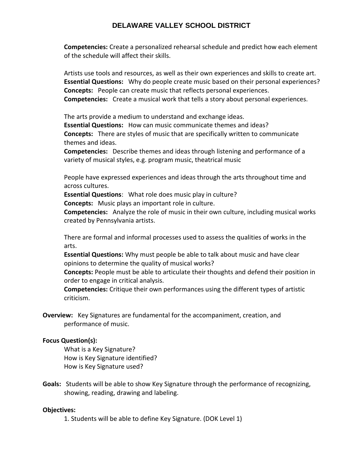**Competencies:** Create a personalized rehearsal schedule and predict how each element of the schedule will affect their skills.

Artists use tools and resources, as well as their own experiences and skills to create art. **Essential Questions:** Why do people create music based on their personal experiences? **Concepts:** People can create music that reflects personal experiences. **Competencies:** Create a musical work that tells a story about personal experiences.

The arts provide a medium to understand and exchange ideas. **Essential Questions:** How can music communicate themes and ideas? **Concepts:** There are styles of music that are specifically written to communicate themes and ideas.

**Competencies:** Describe themes and ideas through listening and performance of a variety of musical styles, e.g. program music, theatrical music

People have expressed experiences and ideas through the arts throughout time and across cultures.

**Essential Questions**: What role does music play in culture?

**Concepts:** Music plays an important role in culture.

**Competencies:** Analyze the role of music in their own culture, including musical works created by Pennsylvania artists.

There are formal and informal processes used to assess the qualities of works in the arts.

**Essential Questions:** Why must people be able to talk about music and have clear opinions to determine the quality of musical works?

**Concepts:** People must be able to articulate their thoughts and defend their position in order to engage in critical analysis.

**Competencies:** Critique their own performances using the different types of artistic criticism.

**Overview:** Key Signatures are fundamental for the accompaniment, creation, and performance of music.

## **Focus Question(s):**

What is a Key Signature? How is Key Signature identified? How is Key Signature used?

**Goals:** Students will be able to show Key Signature through the performance of recognizing, showing, reading, drawing and labeling.

## **Objectives:**

1. Students will be able to define Key Signature. (DOK Level 1)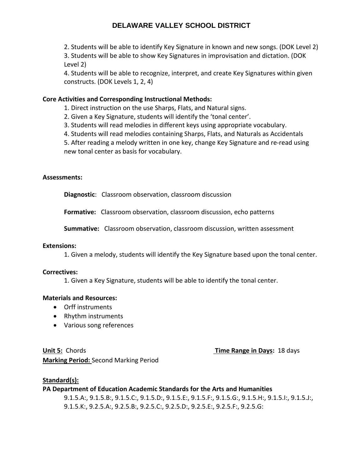2. Students will be able to identify Key Signature in known and new songs. (DOK Level 2)

3. Students will be able to show Key Signatures in improvisation and dictation. (DOK Level 2)

4. Students will be able to recognize, interpret, and create Key Signatures within given constructs. (DOK Levels 1, 2, 4)

## **Core Activities and Corresponding Instructional Methods:**

1. Direct instruction on the use Sharps, Flats, and Natural signs.

2. Given a Key Signature, students will identify the 'tonal center'.

3. Students will read melodies in different keys using appropriate vocabulary.

4. Students will read melodies containing Sharps, Flats, and Naturals as Accidentals

5. After reading a melody written in one key, change Key Signature and re‐read using new tonal center as basis for vocabulary.

## **Assessments:**

**Diagnostic**: Classroom observation, classroom discussion

**Formative:** Classroom observation, classroom discussion, echo patterns

**Summative:** Classroom observation, classroom discussion, written assessment

## **Extensions:**

1. Given a melody, students will identify the Key Signature based upon the tonal center.

## **Correctives:**

1. Given a Key Signature, students will be able to identify the tonal center.

## **Materials and Resources:**

- Orff instruments
- Rhythm instruments
- Various song references

**Unit 5:** Chords **Time Range in Days:** 18 days

**Marking Period:** Second Marking Period

## **Standard(s):**

**PA Department of Education Academic Standards for the Arts and Humanities**

9.1.5.A:, 9.1.5.B:, 9.1.5.C:, 9.1.5.D:, 9.1.5.E:, 9.1.5.F:, 9.1.5.G:, 9.1.5.H:, 9.1.5.I:, 9.1.5.J:, 9.1.5.K:, 9.2.5.A:, 9.2.5.B:, 9.2.5.C:, 9.2.5.D:, 9.2.5.E:, 9.2.5.F:, 9.2.5.G: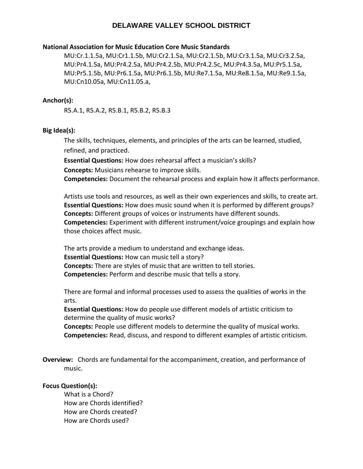#### **National Association for Music Education Core Music Standards**

MU:Cr.1.1.5a, MU:Cr1.1.5b, MU:Cr2.1.5a, MU:Cr2.1.5b, MU:Cr3.1.5a, MU:Cr3.2.5a, MU:Pr4.1.5a, MU:Pr4.2.5a, MU:Pr4.2.5b, MU:Pr4.2.5c, MU:Pr4.3.5a, MU:Pr5.1.5a, MU:Pr5.1.5b, MU:Pr6.1.5a, MU:Pr6.1.5b, MU:Re7.1.5a, MU:Re8.1.5a, MU:Re9.1.5a, MU:Cn10.05a, MU:Cn11.05.a,

#### **Anchor(s):**

R5.A.1, R5.A.2, R5.B.1, R5.B.2, R5.B.3

#### **Big Idea(s):**

The skills, techniques, elements, and principles of the arts can be learned, studied, refined, and practiced.

**Essential Questions:** How does rehearsal affect a musician's skills?

**Concepts:** Musicians rehearse to improve skills.

**Competencies:** Document the rehearsal process and explain how it affects performance.

Artists use tools and resources, as well as their own experiences and skills, to create art. **Essential Questions:** How does music sound when it is performed by different groups? **Concepts:** Different groups of voices or instruments have different sounds. **Competencies:** Experiment with different instrument/voice groupings and explain how those choices affect music.

The arts provide a medium to understand and exchange ideas. **Essential Questions:** How can music tell a story? **Concepts:** There are styles of music that are written to tell stories. **Competencies:** Perform and describe music that tells a story.

There are formal and informal processes used to assess the qualities of works in the arts.

**Essential Questions:** How do people use different models of artistic criticism to determine the quality of music works?

**Concepts:** People use different models to determine the quality of musical works. **Competencies:** Read, discuss, and respond to different examples of artistic criticism.

**Overview:** Chords are fundamental for the accompaniment, creation, and performance of music.

#### **Focus Question(s):**

What is a Chord? How are Chords identified? How are Chords created? How are Chords used?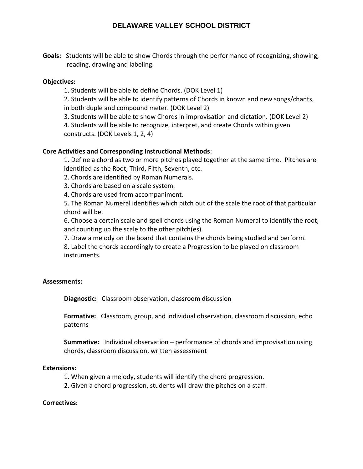**Goals:** Students will be able to show Chords through the performance of recognizing, showing, reading, drawing and labeling.

## **Objectives:**

1. Students will be able to define Chords. (DOK Level 1)

2. Students will be able to identify patterns of Chords in known and new songs/chants,

in both duple and compound meter. (DOK Level 2)

3. Students will be able to show Chords in improvisation and dictation. (DOK Level 2)

4. Students will be able to recognize, interpret, and create Chords within given constructs. (DOK Levels 1, 2, 4)

## **Core Activities and Corresponding Instructional Methods**:

1. Define a chord as two or more pitches played together at the same time. Pitches are identified as the Root, Third, Fifth, Seventh, etc.

2. Chords are identified by Roman Numerals.

3. Chords are based on a scale system.

4. Chords are used from accompaniment.

5. The Roman Numeral identifies which pitch out of the scale the root of that particular chord will be.

6. Choose a certain scale and spell chords using the Roman Numeral to identify the root, and counting up the scale to the other pitch(es).

7. Draw a melody on the board that contains the chords being studied and perform.

8. Label the chords accordingly to create a Progression to be played on classroom instruments.

## **Assessments:**

**Diagnostic:** Classroom observation, classroom discussion

**Formative:** Classroom, group, and individual observation, classroom discussion, echo patterns

**Summative:** Individual observation – performance of chords and improvisation using chords, classroom discussion, written assessment

## **Extensions:**

- 1. When given a melody, students will identify the chord progression.
- 2. Given a chord progression, students will draw the pitches on a staff.

## **Correctives:**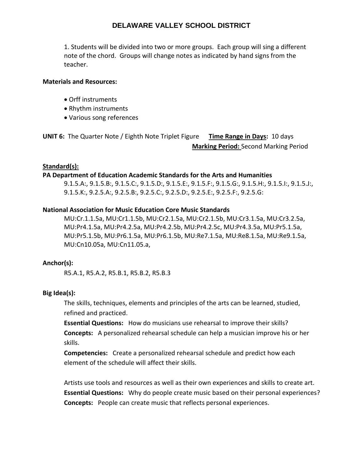1. Students will be divided into two or more groups. Each group will sing a different note of the chord. Groups will change notes as indicated by hand signs from the teacher.

## **Materials and Resources:**

- Orff instruments
- Rhythm instruments
- Various song references

**UNIT 6:** The Quarter Note / Eighth Note Triplet Figure **Time Range in Days:** 10 days **Marking Period:** Second Marking Period

## **Standard(s):**

#### **PA Department of Education Academic Standards for the Arts and Humanities**

9.1.5.A:, 9.1.5.B:, 9.1.5.C:, 9.1.5.D:, 9.1.5.E:, 9.1.5.F:, 9.1.5.G:, 9.1.5.H:, 9.1.5.I:, 9.1.5.J:, 9.1.5.K:, 9.2.5.A:, 9.2.5.B:, 9.2.5.C:, 9.2.5.D:, 9.2.5.E:, 9.2.5.F:, 9.2.5.G:

## **National Association for Music Education Core Music Standards**

MU:Cr.1.1.5a, MU:Cr1.1.5b, MU:Cr2.1.5a, MU:Cr2.1.5b, MU:Cr3.1.5a, MU:Cr3.2.5a, MU:Pr4.1.5a, MU:Pr4.2.5a, MU:Pr4.2.5b, MU:Pr4.2.5c, MU:Pr4.3.5a, MU:Pr5.1.5a, MU:Pr5.1.5b, MU:Pr6.1.5a, MU:Pr6.1.5b, MU:Re7.1.5a, MU:Re8.1.5a, MU:Re9.1.5a, MU:Cn10.05a, MU:Cn11.05.a,

## **Anchor(s):**

R5.A.1, R5.A.2, R5.B.1, R5.B.2, R5.B.3

## **Big Idea(s):**

The skills, techniques, elements and principles of the arts can be learned, studied, refined and practiced.

**Essential Questions:** How do musicians use rehearsal to improve their skills? **Concepts:** A personalized rehearsal schedule can help a musician improve his or her skills.

**Competencies:** Create a personalized rehearsal schedule and predict how each element of the schedule will affect their skills.

Artists use tools and resources as well as their own experiences and skills to create art. **Essential Questions:** Why do people create music based on their personal experiences? **Concepts:** People can create music that reflects personal experiences.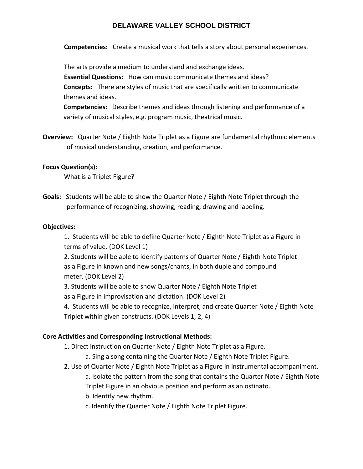**Competencies:** Create a musical work that tells a story about personal experiences.

The arts provide a medium to understand and exchange ideas. **Essential Questions:** How can music communicate themes and ideas? **Concepts:** There are styles of music that are specifically written to communicate themes and ideas.

**Competencies:** Describe themes and ideas through listening and performance of a variety of musical styles, e.g. program music, theatrical music.

**Overview:** Quarter Note / Eighth Note Triplet as a Figure are fundamental rhythmic elements of musical understanding, creation, and performance.

## **Focus Question(s):**

What is a Triplet Figure?

**Goals:** Students will be able to show the Quarter Note / Eighth Note Triplet through the performance of recognizing, showing, reading, drawing and labeling.

## **Objectives:**

1. Students will be able to define Quarter Note / Eighth Note Triplet as a Figure in terms of value. (DOK Level 1)

2. Students will be able to identify patterns of Quarter Note / Eighth Note Triplet as a Figure in known and new songs/chants, in both duple and compound meter. (DOK Level 2)

3. Students will be able to show Quarter Note / Eighth Note Triplet

as a Figure in improvisation and dictation. (DOK Level 2)

4. Students will be able to recognize, interpret, and create Quarter Note / Eighth Note Triplet within given constructs. (DOK Levels 1, 2, 4)

## **Core Activities and Corresponding Instructional Methods:**

1. Direct instruction on Quarter Note / Eighth Note Triplet as a Figure.

- a. Sing a song containing the Quarter Note / Eighth Note Triplet Figure.
- 2. Use of Quarter Note / Eighth Note Triplet as a Figure in instrumental accompaniment.

a. Isolate the pattern from the song that contains the Quarter Note / Eighth Note Triplet Figure in an obvious position and perform as an ostinato.

- b. Identify new rhythm.
- c. Identify the Quarter Note / Eighth Note Triplet Figure.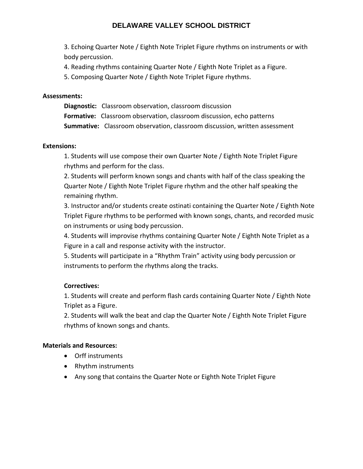3. Echoing Quarter Note / Eighth Note Triplet Figure rhythms on instruments or with body percussion.

4. Reading rhythms containing Quarter Note / Eighth Note Triplet as a Figure.

5. Composing Quarter Note / Eighth Note Triplet Figure rhythms.

## **Assessments:**

**Diagnostic:** Classroom observation, classroom discussion **Formative:** Classroom observation, classroom discussion, echo patterns **Summative:** Classroom observation, classroom discussion, written assessment

## **Extensions:**

1. Students will use compose their own Quarter Note / Eighth Note Triplet Figure rhythms and perform for the class.

2. Students will perform known songs and chants with half of the class speaking the Quarter Note / Eighth Note Triplet Figure rhythm and the other half speaking the remaining rhythm.

3. Instructor and/or students create ostinati containing the Quarter Note / Eighth Note Triplet Figure rhythms to be performed with known songs, chants, and recorded music on instruments or using body percussion.

4. Students will improvise rhythms containing Quarter Note / Eighth Note Triplet as a Figure in a call and response activity with the instructor.

5. Students will participate in a "Rhythm Train" activity using body percussion or instruments to perform the rhythms along the tracks.

## **Correctives:**

1. Students will create and perform flash cards containing Quarter Note / Eighth Note Triplet as a Figure.

2. Students will walk the beat and clap the Quarter Note / Eighth Note Triplet Figure rhythms of known songs and chants.

## **Materials and Resources:**

- Orff instruments
- Rhythm instruments
- Any song that contains the Quarter Note or Eighth Note Triplet Figure